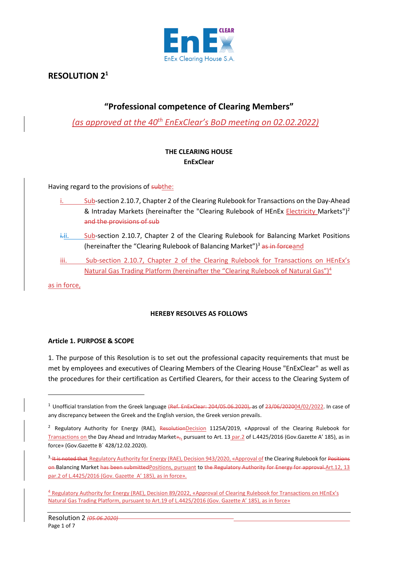

# **RESOLUTION 2<sup>1</sup>**

## **"Professional competence of Clearing Members"**

*(as approved at the 40th EnExClear's BoD meeting on 02.02.2022)*

## **THE CLEARING HOUSE EnExClear**

Having regard to the provisions of subthe:

- Sub-section 2.10.7, Chapter 2 of the Clearing Rulebook for Transactions on the Day-Ahead & Intraday Markets (hereinafter the "Clearing Rulebook of HEnEx *Electricity Markets")<sup>2</sup>* and the provisions of sub
- i.ii. Sub-section 2.10.7, Chapter 2 of the Clearing Rulebook for Balancing Market Positions (hereinafter the "Clearing Rulebook of Balancing Market")<sup>3</sup> as in forceand
- iii. Sub-section 2.10.7, Chapter 2 of the Clearing Rulebook for Transactions on HEnEx's Natural Gas Trading Platform (hereinafter the "Clearing Rulebook of Natural Gas")<sup>4</sup>

as in force,

## **HEREBY RESOLVES AS FOLLOWS**

## **Article 1. PURPOSE & SCOPE**

1. The purpose of this Resolution is to set out the professional capacity requirements that must be met by employees and executives of Clearing Members of the Clearing House "EnExClear" as well as the procedures for their certification as Certified Clearers, for their access to the Clearing System of

<sup>&</sup>lt;sup>1</sup> Unofficial translation from the Greek language (Ref. EnExClear: 204/05.06.2020), as of 23/06/202004/02/2022. In case of any discrepancy between the Greek and the English version, the Greek version prevails.

<sup>&</sup>lt;sup>2</sup> Regulatory Authority for Energy (RAE), ResolutionDecision 1125A/2019, «Approval of the Clearing Rulebook for Transactions on the Day Ahead and Intraday Market»,, pursuant to Art. 13 par.2 of L.4425/2016 (Gov.Gazette Α' 185), as in force» (Gov.Gazette Β΄ 428/12.02.2020).

<sup>&</sup>lt;sup>3</sup>-It is noted that Regulatory Authority for Energy (RAE), Decision 943/2020, «Approval of the Clearing Rulebook for Positions on-Balancing Market has been submittedPositions, pursuant to the Regulatory Authority for Energy for approval-Art.12, 13 par.2 of L.4425/2016 (Gov. Gazette Α' 185), as in force».

<sup>4</sup> Regulatory Authority for Energy (RAE), Decision 89/2022, «Approval of Clearing Rulebook for Transactions on HEnEx's Natural Gas Trading Platform, pursuant to Art.19 of L.4425/2016 (Gov. Gazette Α' 185), as in force»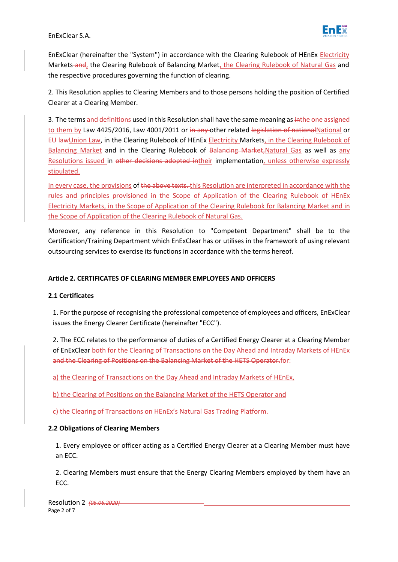

EnExClear (hereinafter the "System") in accordance with the Clearing Rulebook of HEnEx Electricity Markets and, the Clearing Rulebook of Balancing Market, the Clearing Rulebook of Natural Gas and the respective procedures governing the function of clearing.

2. This Resolution applies to Clearing Members and to those persons holding the position of Certified Clearer at a Clearing Member.

3. The terms and definitions used in this Resolution shall have the same meaning as inthe one assigned to them by Law 4425/2016, Law 4001/2011 or in any other related legislation of nationalNational or EU lawUnion Law, in the Clearing Rulebook of HEnEx Electricity Markets, in the Clearing Rulebook of Balancing Market and in the Clearing Rulebook of Balancing Market, Natural Gas as well as any Resolutions issued in other decisions adopted intheir implementation, unless otherwise expressly stipulated.

In every case, the provisions of the above texts. this Resolution are interpreted in accordance with the rules and principles provisioned in the Scope of Application of the Clearing Rulebook of HEnEx Electricity Markets, in the Scope of Application of the Clearing Rulebook for Balancing Market and in the Scope of Application of the Clearing Rulebook of Natural Gas.

Moreover, any reference in this Resolution to "Competent Department" shall be to the Certification/Training Department which EnExClear has or utilises in the framework of using relevant outsourcing services to exercise its functions in accordance with the terms hereof.

## **Article 2. CERTIFICATES OF CLEARING MEMBER EMPLOYEES AND OFFICERS**

## **2.1 Certificates**

1. For the purpose of recognising the professional competence of employees and officers, EnExClear issues the Energy Clearer Certificate (hereinafter "ECC").

2. The ECC relates to the performance of duties of a Certified Energy Clearer at a Clearing Member of EnExClear both for the Clearing of Transactions on the Day Ahead and Intraday Markets of HEnEx and the Clearing of Positions on the Balancing Market of the HETS Operator.for:

a) the Clearing of Transactions on the Day Ahead and Intraday Markets of HEnEx,

b) the Clearing of Positions on the Balancing Market of the HETS Operator and

c) the Clearing of Transactions on HEnEx's Natural Gas Trading Platform.

## **2.2 Obligations of Clearing Members**

1. Every employee or officer acting as a Certified Energy Clearer at a Clearing Member must have an ECC.

2. Clearing Members must ensure that the Energy Clearing Members employed by them have an ECC.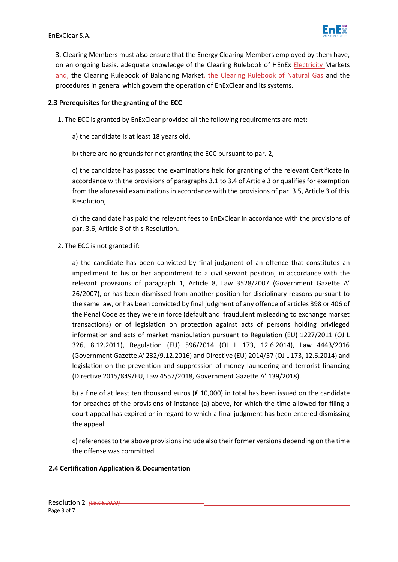

3. Clearing Members must also ensure that the Energy Clearing Members employed by them have, on an ongoing basis, adequate knowledge of the Clearing Rulebook of HEnEx Electricity Markets and, the Clearing Rulebook of Balancing Market, the Clearing Rulebook of Natural Gas and the procedures in general which govern the operation of EnExClear and its systems.

### **2.3 Prerequisites for the granting of the ECC**

1. The ECC is granted by EnExClear provided all the following requirements are met:

a) the candidate is at least 18 years old,

b) there are no grounds for not granting the ECC pursuant to par. 2,

c) the candidate has passed the examinations held for granting of the relevant Certificate in accordance with the provisions of paragraphs 3.1 to 3.4 of Article 3 or qualifies for exemption from the aforesaid examinations in accordance with the provisions of par. 3.5, Article 3 of this Resolution,

d) the candidate has paid the relevant fees to EnExClear in accordance with the provisions of par. 3.6, Article 3 of this Resolution.

2. The ECC is not granted if:

a) the candidate has been convicted by final judgment of an offence that constitutes an impediment to his or her appointment to a civil servant position, in accordance with the relevant provisions of paragraph 1, Article 8, Law 3528/2007 (Government Gazette A' 26/2007), or has been dismissed from another position for disciplinary reasons pursuant to the same law, or has been convicted by final judgment of any offence of articles 398 or 406 of the Penal Code as they were in force (default and fraudulent misleading to exchange market transactions) or of legislation on protection against acts of persons holding privileged information and acts of market manipulation pursuant to Regulation (EU) 1227/2011 (OJ L 326, 8.12.2011), Regulation (EU) 596/2014 (OJ L 173, 12.6.2014), Law 4443/2016 (Government Gazette Α' 232/9.12.2016) and Directive (EU) 2014/57 (OJ L 173, 12.6.2014) and legislation on the prevention and suppression of money laundering and terrorist financing (Directive 2015/849/EU, Law 4557/2018, Government Gazette A' 139/2018).

b) a fine of at least ten thousand euros (€ 10,000) in total has been issued on the candidate for breaches of the provisions of instance (a) above, for which the time allowed for filing a court appeal has expired or in regard to which a final judgment has been entered dismissing the appeal.

c) references to the above provisions include also their former versions depending on the time the offense was committed.

#### **2.4 Certification Application & Documentation**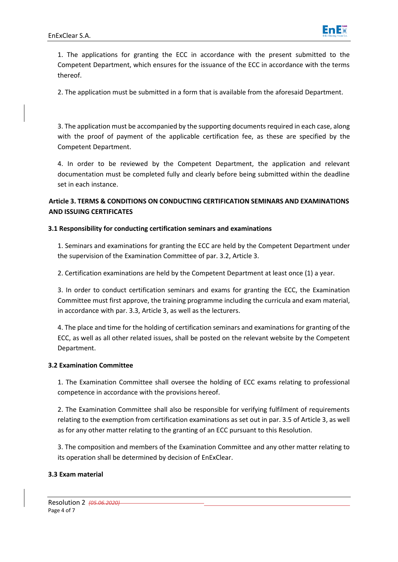

1. The applications for granting the ECC in accordance with the present submitted to the Competent Department, which ensures for the issuance of the ECC in accordance with the terms thereof.

2. The application must be submitted in a form that is available from the aforesaid Department.

3. The application must be accompanied by the supporting documents required in each case, along with the proof of payment of the applicable certification fee, as these are specified by the Competent Department.

4. In order to be reviewed by the Competent Department, the application and relevant documentation must be completed fully and clearly before being submitted within the deadline set in each instance.

**Article 3. TERMS & CONDITIONS ON CONDUCTING CERTIFICATION SEMINARS AND EXAMINATIONS AND ISSUING CERTIFICATES**

#### **3.1 Responsibility for conducting certification seminars and examinations**

1. Seminars and examinations for granting the ECC are held by the Competent Department under the supervision of the Examination Committee of par. 3.2, Article 3.

2. Certification examinations are held by the Competent Department at least once (1) a year.

3. In order to conduct certification seminars and exams for granting the ECC, the Examination Committee must first approve, the training programme including the curricula and exam material, in accordance with par. 3.3, Article 3, as well as the lecturers.

4. The place and time for the holding of certification seminars and examinations for granting of the ECC, as well as all other related issues, shall be posted on the relevant website by the Competent Department.

#### **3.2 Examination Committee**

1. The Examination Committee shall oversee the holding of ECC exams relating to professional competence in accordance with the provisions hereof.

2. The Examination Committee shall also be responsible for verifying fulfilment of requirements relating to the exemption from certification examinations as set out in par. 3.5 of Article 3, as well as for any other matter relating to the granting of an ECC pursuant to this Resolution.

3. The composition and members of the Examination Committee and any other matter relating to its operation shall be determined by decision of EnExClear.

#### **3.3 Exam material**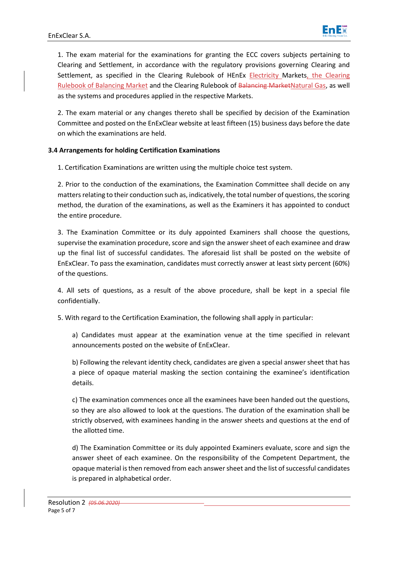

1. The exam material for the examinations for granting the ECC covers subjects pertaining to Clearing and Settlement, in accordance with the regulatory provisions governing Clearing and Settlement, as specified in the Clearing Rulebook of HEnEx Electricity Markets, the Clearing Rulebook of Balancing Market and the Clearing Rulebook of Balancing MarketNatural Gas, as well as the systems and procedures applied in the respective Markets.

2. The exam material or any changes thereto shall be specified by decision of the Examination Committee and posted on the EnExClear website at least fifteen (15) business days before the date on which the examinations are held.

## **3.4 Arrangements for holding Certification Examinations**

1. Certification Examinations are written using the multiple choice test system.

2. Prior to the conduction of the examinations, the Examination Committee shall decide on any matters relating to their conduction such as, indicatively, the total number of questions, the scoring method, the duration of the examinations, as well as the Examiners it has appointed to conduct the entire procedure.

3. The Examination Committee or its duly appointed Examiners shall choose the questions, supervise the examination procedure, score and sign the answer sheet of each examinee and draw up the final list of successful candidates. The aforesaid list shall be posted on the website of EnExClear. To pass the examination, candidates must correctly answer at least sixty percent (60%) of the questions.

4. All sets of questions, as a result of the above procedure, shall be kept in a special file confidentially.

5. With regard to the Certification Examination, the following shall apply in particular:

a) Candidates must appear at the examination venue at the time specified in relevant announcements posted on the website of EnExClear.

b) Following the relevant identity check, candidates are given a special answer sheet that has a piece of opaque material masking the section containing the examinee's identification details.

c) The examination commences once all the examinees have been handed out the questions, so they are also allowed to look at the questions. The duration of the examination shall be strictly observed, with examinees handing in the answer sheets and questions at the end of the allotted time.

d) The Examination Committee or its duly appointed Examiners evaluate, score and sign the answer sheet of each examinee. On the responsibility of the Competent Department, the opaque material is then removed from each answer sheet and the list of successful candidates is prepared in alphabetical order.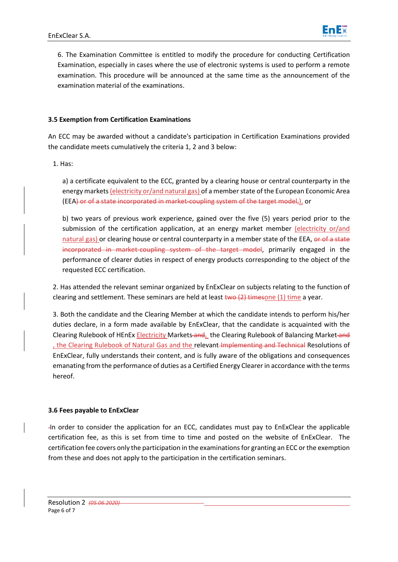

6. The Examination Committee is entitled to modify the procedure for conducting Certification Examination, especially in cases where the use of electronic systems is used to perform a remote examination. This procedure will be announced at the same time as the announcement of the examination material of the examinations.

#### **3.5 Exemption from Certification Examinations**

An ECC may be awarded without a candidate's participation in Certification Examinations provided the candidate meets cumulatively the criteria 1, 2 and 3 below:

1. Has:

a) a certificate equivalent to the ECC, granted by a clearing house or central counterparty in the energy markets (electricity or/and natural gas) of a member state of the European Economic Area (EEA) or of a state incorporated in market-coupling system of the target model,), or

b) two years of previous work experience, gained over the five (5) years period prior to the submission of the certification application, at an energy market member (electricity or/and natural gas) or clearing house or central counterparty in a member state of the EEA, or of a state incorporated in market-coupling system of the target model, primarily engaged in the performance of clearer duties in respect of energy products corresponding to the object of the requested ECC certification.

2. Has attended the relevant seminar organized by EnExClear on subjects relating to the function of clearing and settlement. These seminars are held at least  $two (2)$  timesone (1) time a year.

3. Both the candidate and the Clearing Member at which the candidate intends to perform his/her duties declare, in a form made available by EnExClear, that the candidate is acquainted with the Clearing Rulebook of HEnEx Electricity Markets and, the Clearing Rulebook of Balancing Market and , the Clearing Rulebook of Natural Gas and the relevant Implementing and Technical Resolutions of EnExClear, fully understands their content, and is fully aware of the obligations and consequences emanating from the performance of duties as a Certified Energy Clearer in accordance with the terms hereof.

#### **3.6 Fees payable to EnExClear**

In order to consider the application for an ECC, candidates must pay to EnExClear the applicable certification fee, as this is set from time to time and posted on the website of EnExClear. The certification fee covers only the participation in the examinations for granting an ECC or the exemption from these and does not apply to the participation in the certification seminars.